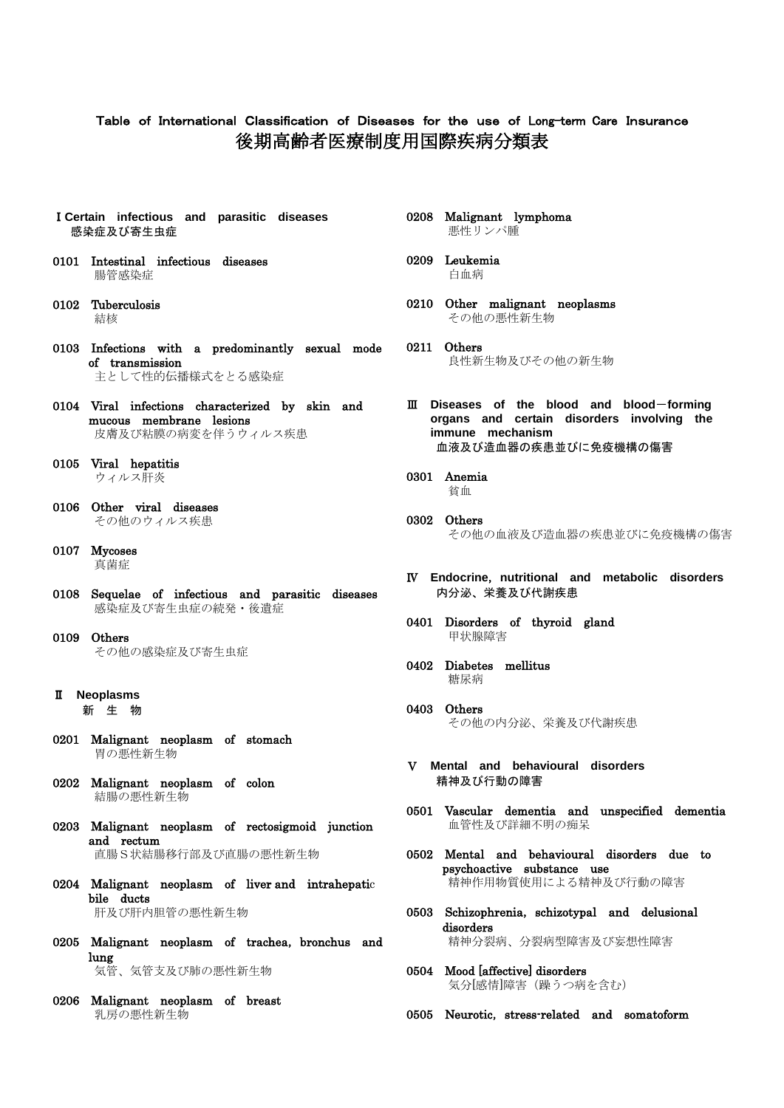## Table of International Classification of Diseases for the use of Long-term Care Insurance 後期高齢者医療制度用国際疾病分類表

- Ⅰ**Certain infectious and parasitic diseases** 感染症及び寄生虫症
- 0101 Intestinal infectious diseases 腸管感染症
- 0102 Tuberculosis 結核
- 0103 Infections with a predominantly sexual mode of transmission 主として性的伝播様式をとる感染症
- 0104 Viral infections characterized by skin and mucous membrane lesions 皮膚及び粘膜の病変を伴うウィルス疾患
- 0105 Viral hepatitis ウィルス肝炎
- 0106 Other viral diseases その他のウィルス疾患
- 0107 Mycoses 真菌症
- 0108 Sequelae of infectious and parasitic diseases 感染症及び寄生虫症の続発・後遺症
- 0109 Others その他の感染症及び寄生虫症
- Ⅱ **Neoplasms** 新 生 物
- 0201 Malignant neoplasm of stomach 胃の悪性新生物
- 0202 Malignant neoplasm of colon 結腸の悪性新生物
- 0203 Malignant neoplasm of rectosigmoid junction and rectum 直腸S状結腸移行部及び直腸の悪性新生物
- 0204 Malignant neoplasm of liver and intrahepatic bile ducts 肝及び肝内胆管の悪性新生物
- 0205 Malignant neoplasm of trachea, bronchus and lung 気管、気管支及び肺の悪性新生物
- 0206 Malignant neoplasm of breast 乳房の悪性新生物
- 0208 Malignant lymphoma 悪性リンパ腫
- 0209 Leukemia 白血病
- 0210 Other malignant neoplasms その他の悪性新生物
- 0211 Others 良性新生物及びその他の新生物
- Ⅲ **Diseases of the blood and blood**-**forming organs and certain disorders involving the immune mechanism** 血液及び造血器の疾患並びに免疫機構の傷害
- 0301 Anemia 貧血
- 0302 Others その他の血液及び造血器の疾患並びに免疫機構の傷害
- Ⅳ **Endocrine**,**nutritional and metabolic disorders** 内分泌、栄養及び代謝疾患
- 0401 Disorders of thyroid gland 甲状腺障害
- 0402 Diabetes mellitus 糖尿病
- 0403 Others その他の内分泌、栄養及び代謝疾患
- Ⅴ **Mental and behavioural disorders** 精神及び行動の障害
- 0501 Vascular dementia and unspecified dementia 血管性及び詳細不明の痴呆
- 0502 Mental and behavioural disorders due to psychoactive substance use 精神作用物質使用による精神及び行動の障害
- 0503 Schizophrenia, schizotypal and delusional disorders 精神分裂病、分裂病型障害及び妄想性障害
- 0504 Mood [affective] disorders 気分[感情]障害(躁うつ病を含む)
- 0505 Neurotic, stress-related and somatoform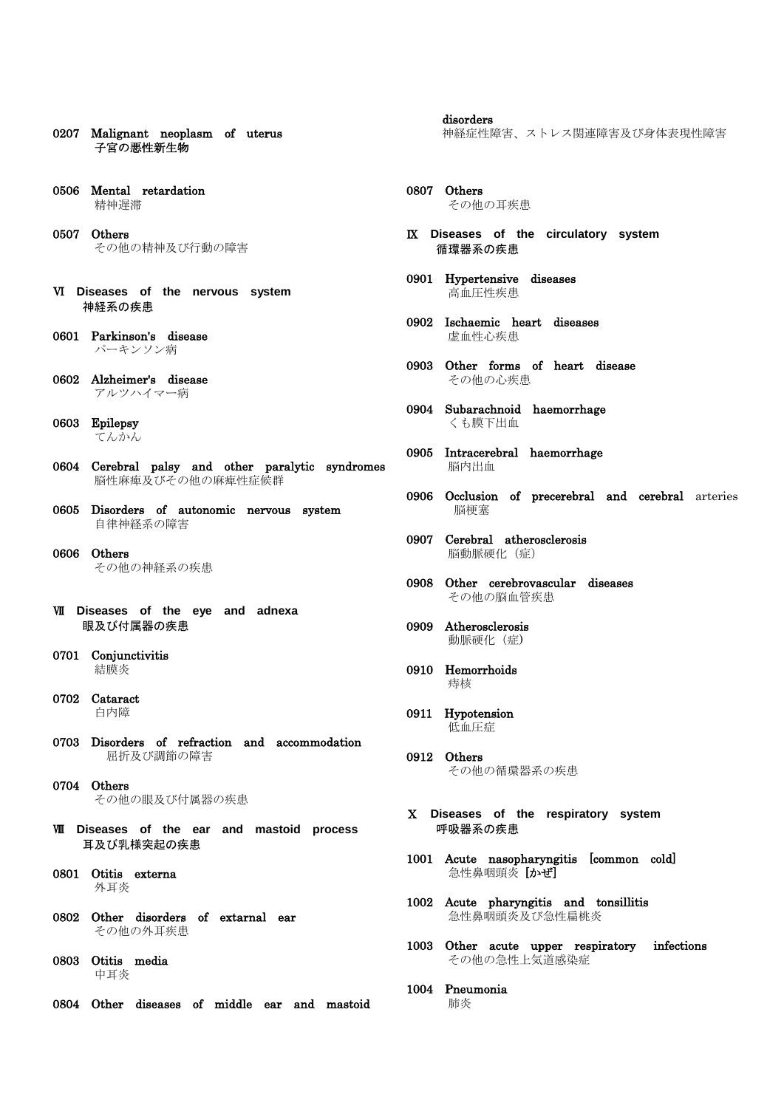- 0207 Malignant neoplasm of uterus 子宮の悪性新生物
- 0506 Mental retardation 精神遅滞
- 0507 Others その他の精神及び行動の障害
- Ⅵ **Diseases of the nervous system** 神経系の疾患
- 0601 Parkinson's disease パーキンソン病
- 0602 Alzheimer's disease アルツハイマー病
- 0603 Epilepsy てんかん
- 0604 Cerebral palsy and other paralytic syndromes 脳性麻痺及びその他の麻痺性症候群
- 0605 Disorders of autonomic nervous system 自律神経系の障害
- 0606 Others その他の神経系の疾患
- Ⅶ **Diseases of the eye and adnexa** 眼及び付属器の疾患
- 0701 Conjunctivitis 結膜炎
- 0702 Cataract 白内障
- 0703 Disorders of refraction and accommodation 屈折及び調節の障害
- 0704 Others その他の眼及び付属器の疾患
- Ⅷ **Diseases of the ear and mastoid process** 耳及び乳様突起の疾患
- 0801 Otitis externa 外耳炎
- 0802 Other disorders of extarnal ear その他の外耳疾患
- 0803 Otitis media 中耳炎
- 0804 Other diseases of middle ear and mastoid

 disorders 神経症性障害、ストレス関連障害及び身体表現性障害

- 0807 Others その他の耳疾患
- Ⅸ **Diseases of the circulatory system** 循環器系の疾患
- 0901 Hypertensive diseases 高血圧性疾患
- 0902 Ischaemic heart diseases 虚血性心疾患
- 0903 Other forms of heart disease その他の心疾患
- 0904 Subarachnoid haemorrhage くも膜下出血
- 0905 Intracerebral haemorrhage 脳内出血
- 0906 Occlusion of precerebral and cerebral arteries 脳梗塞
- 0907 Cerebral atherosclerosis 脳動脈硬化(症)
- 0908 Other cerebrovascular diseases その他の脳血管疾患
- 0909 Atherosclerosis 動脈硬化(症)
- 0910 Hemorrhoids 痔核
- 0911 Hypotension 低血圧症
- 0912 Others その他の循環器系の疾患
- Ⅹ **Diseases of the respiratory system** 呼吸器系の疾患
- 1001 Acute nasopharyngitis [common cold] 急性鼻咽頭炎 [かぜ]
- 1002 Acute pharyngitis and tonsillitis 急性鼻咽頭炎及び急性扁桃炎
- 1003 Other acute upper respiratory infections その他の急性上気道感染症
- 1004 Pneumonia 肺炎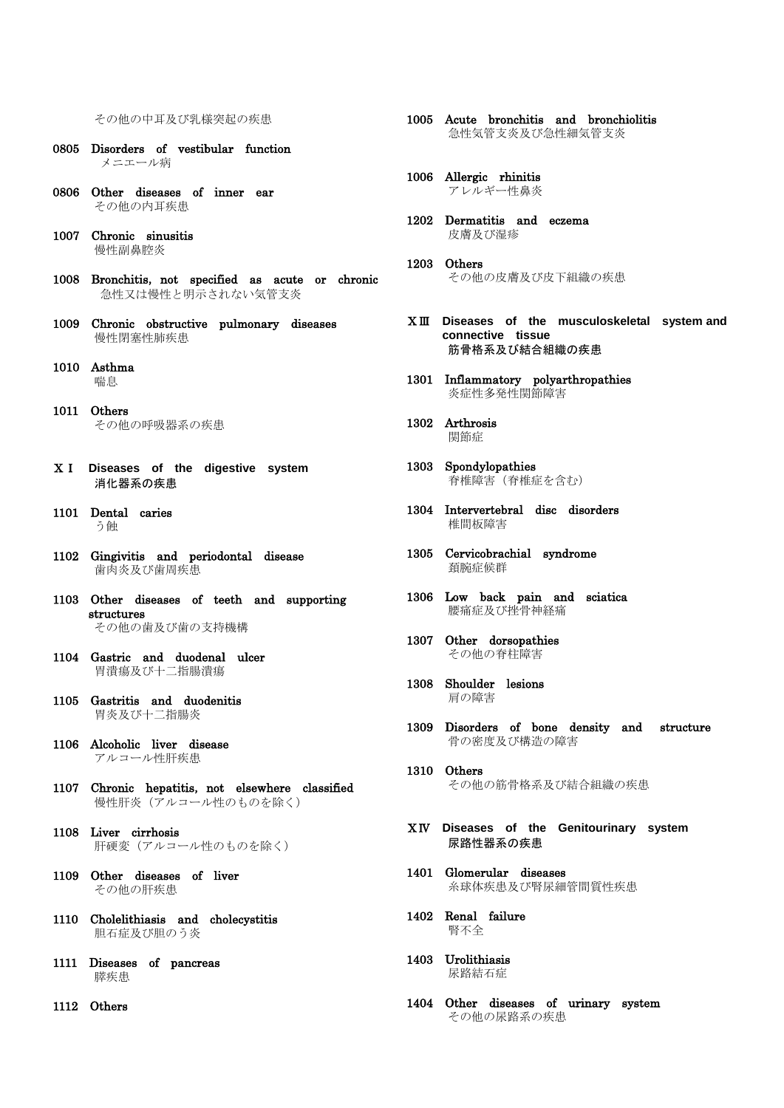その他の中耳及び乳様突起の疾患

- 0805 Disorders of vestibular function メニエール病
- 0806 Other diseases of inner ear その他の内耳疾患
- 1007 Chronic sinusitis 慢性副鼻腔炎
- 1008 Bronchitis, not specified as acute or chronic 急性又は慢性と明示されない気管支炎
- 1009 Chronic obstructive pulmonary diseases 慢性閉塞性肺疾患
- 1010 Asthma 喘息
- 1011 Others その他の呼吸器系の疾患
- ⅩⅠ **Diseases of the digestive system** 消化器系の疾患
- 1101 Dental caries う蝕
- 1102 Gingivitis and periodontal disease 歯肉炎及び歯周疾患
- 1103 Other diseases of teeth and supporting structures その他の歯及び歯の支持機構
- 1104 Gastric and duodenal ulcer 胃潰瘍及び十二指腸潰瘍
- 1105 Gastritis and duodenitis 胃炎及び十二指腸炎
- 1106 Alcoholic liver disease アルコール性肝疾患
- 1107 Chronic hepatitis, not elsewhere classified 慢性肝炎(アルコール性のものを除く)
- 1108 Liver cirrhosis 肝硬変(アルコール性のものを除く)
- 1109 Other diseases of liver その他の肝疾患
- 1110 Cholelithiasis and cholecystitis 胆石症及び胆のう炎
- 1111 Diseases of pancreas 膵疾患
- 1112 Others
- 1005 Acute bronchitis and bronchiolitis 急性気管支炎及び急性細気管支炎
- 1006 Allergic rhinitis アレルギー性鼻炎
- 1202 Dermatitis and eczema 皮膚及び湿疹
- 1203 Others その他の皮膚及び皮下組織の疾患
- ⅩⅢ **Diseases of the musculoskeletal system and connective tissue** 筋骨格系及び結合組織の疾患
- 1301 Inflammatory polyarthropathies 炎症性多発性関節障害
- 1302 Arthrosis 関節症
- 1303 Spondylopathies 脊椎障害(脊椎症を含む)
- 1304 Intervertebral disc disorders 椎間板障害
- 1305 Cervicobrachial syndrome 頚腕症候群
- 1306 Low back pain and sciatica 腰痛症及び挫骨神経痛
- 1307 Other dorsopathies その他の脊柱障害
- 1308 Shoulder lesions 肩の障害
- 1309 Disorders of bone density and structure 骨の密度及び構造の障害
- 1310 Others その他の筋骨格系及び結合組織の疾患
- ⅩⅣ **Diseases of the Genitourinary system** 尿路性器系の疾患
- 1401 Glomerular diseases 糸球体疾患及び腎尿細管間質性疾患
- 1402 Renal failure 腎不全
- 1403 Urolithiasis 尿路結石症
- 1404 Other diseases of urinary system その他の尿路系の疾患